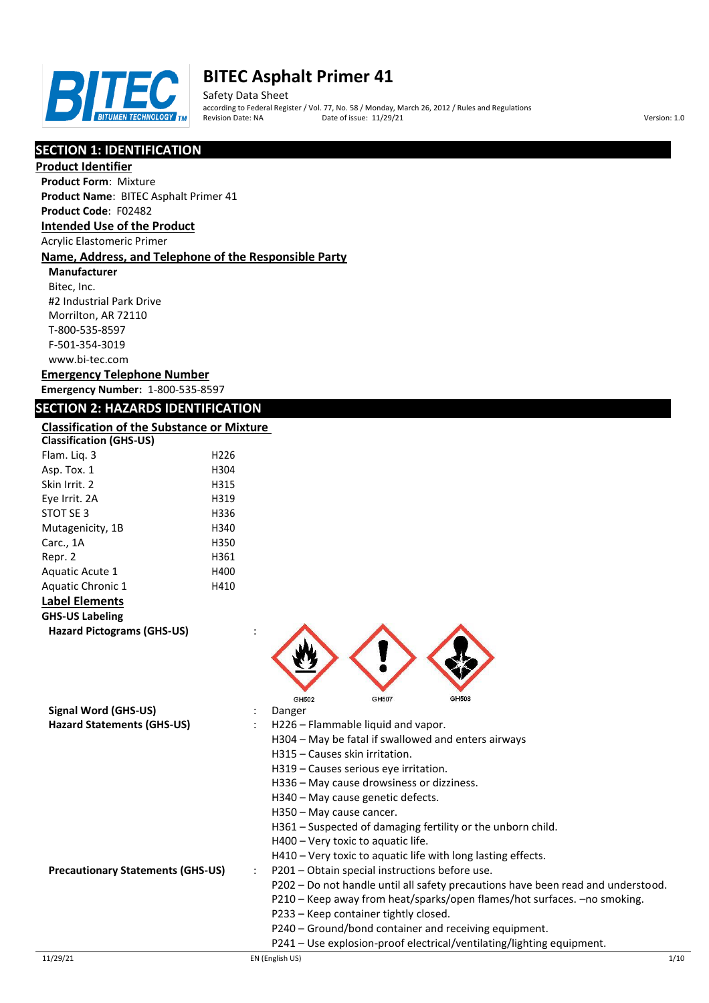

Safety Data Sheet according to Federal Register / Vol. 77, No. 58 / Monday, March 26, 2012 / Rules and Regulations Pate of issue:  $11/29/21$  Version: 1.0

# **SECTION 1: IDENTIFICATION**

# **Product Identifier**

**Product Form**: Mixture

# **Product Name**: BITEC Asphalt Primer 41

# **Product Code**: F02482

# **Intended Use of the Product**

Acrylic Elastomeric Primer

## **Name, Address, and Telephone of the Responsible Party**

**Manufacturer** Bitec, Inc. #2 Industrial Park Drive Morrilton, AR 72110 T-800-535-8597 F-501-354-3019 www.bi-tec.com

#### **Emergency Telephone Number Emergency Number:** 1-800-535-8597

# **SECTION 2: HAZARDS IDENTIFICATION**

# **Classification of the Substance or Mixture**

| <b>Classification (GHS-US)</b>                                   |      |                                                                                                                                                                                                                                                                                                                                                                                                                                                                                                                                                                                             |
|------------------------------------------------------------------|------|---------------------------------------------------------------------------------------------------------------------------------------------------------------------------------------------------------------------------------------------------------------------------------------------------------------------------------------------------------------------------------------------------------------------------------------------------------------------------------------------------------------------------------------------------------------------------------------------|
| Flam. Liq. 3                                                     | H226 |                                                                                                                                                                                                                                                                                                                                                                                                                                                                                                                                                                                             |
| Asp. Tox. 1                                                      | H304 |                                                                                                                                                                                                                                                                                                                                                                                                                                                                                                                                                                                             |
| Skin Irrit. 2                                                    | H315 |                                                                                                                                                                                                                                                                                                                                                                                                                                                                                                                                                                                             |
| Eye Irrit. 2A                                                    | H319 |                                                                                                                                                                                                                                                                                                                                                                                                                                                                                                                                                                                             |
| STOT SE 3                                                        | H336 |                                                                                                                                                                                                                                                                                                                                                                                                                                                                                                                                                                                             |
| Mutagenicity, 1B                                                 | H340 |                                                                                                                                                                                                                                                                                                                                                                                                                                                                                                                                                                                             |
| Carc., 1A                                                        | H350 |                                                                                                                                                                                                                                                                                                                                                                                                                                                                                                                                                                                             |
| Repr. 2                                                          | H361 |                                                                                                                                                                                                                                                                                                                                                                                                                                                                                                                                                                                             |
| Aquatic Acute 1                                                  | H400 |                                                                                                                                                                                                                                                                                                                                                                                                                                                                                                                                                                                             |
| Aquatic Chronic 1                                                | H410 |                                                                                                                                                                                                                                                                                                                                                                                                                                                                                                                                                                                             |
| <b>Label Elements</b>                                            |      |                                                                                                                                                                                                                                                                                                                                                                                                                                                                                                                                                                                             |
| <b>GHS-US Labeling</b>                                           |      |                                                                                                                                                                                                                                                                                                                                                                                                                                                                                                                                                                                             |
| <b>Hazard Pictograms (GHS-US)</b>                                |      |                                                                                                                                                                                                                                                                                                                                                                                                                                                                                                                                                                                             |
| <b>Signal Word (GHS-US)</b><br><b>Hazard Statements (GHS-US)</b> |      | GH507<br>GH508<br>GH502<br>Danger<br>H226 - Flammable liquid and vapor.<br>H304 - May be fatal if swallowed and enters airways<br>H315 - Causes skin irritation.<br>H319 - Causes serious eye irritation.<br>H336 - May cause drowsiness or dizziness.<br>H340 - May cause genetic defects.                                                                                                                                                                                                                                                                                                 |
| <b>Precautionary Statements (GHS-US)</b>                         |      | H350 - May cause cancer.<br>H361 - Suspected of damaging fertility or the unborn child.<br>H400 - Very toxic to aquatic life.<br>H410 - Very toxic to aquatic life with long lasting effects.<br>P201 - Obtain special instructions before use.<br>P202 - Do not handle until all safety precautions have been read and understood.<br>P210 - Keep away from heat/sparks/open flames/hot surfaces. - no smoking.<br>P233 - Keep container tightly closed.<br>P240 - Ground/bond container and receiving equipment.<br>P241 - Use explosion-proof electrical/ventilating/lighting equipment. |
| 11/29/21                                                         |      | 1/10<br>EN (English US)                                                                                                                                                                                                                                                                                                                                                                                                                                                                                                                                                                     |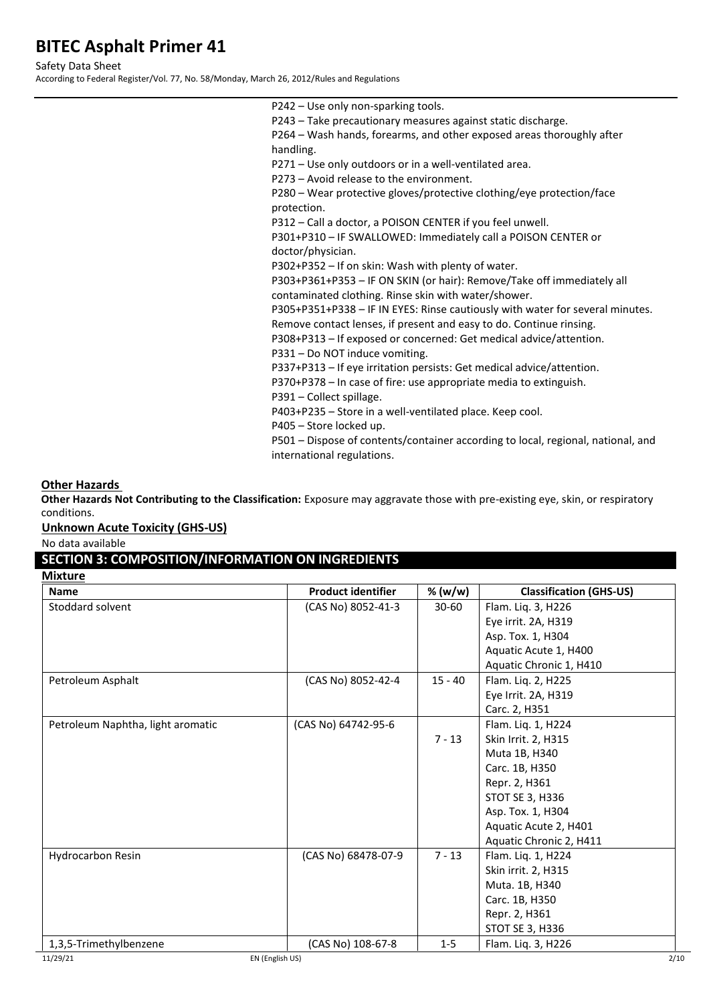Safety Data Sheet

According to Federal Register/Vol. 77, No. 58/Monday, March 26, 2012/Rules and Regulations

| P242 - Use only non-sparking tools.                                              |
|----------------------------------------------------------------------------------|
| P243 - Take precautionary measures against static discharge.                     |
| P264 - Wash hands, forearms, and other exposed areas thoroughly after            |
| handling.                                                                        |
| P271 – Use only outdoors or in a well-ventilated area.                           |
| P273 - Avoid release to the environment.                                         |
| P280 – Wear protective gloves/protective clothing/eve protection/face            |
| protection.                                                                      |
| P312 – Call a doctor, a POISON CENTER if you feel unwell.                        |
| P301+P310 - IF SWALLOWED: Immediately call a POISON CENTER or                    |
| doctor/physician.                                                                |
| P302+P352 – If on skin: Wash with plenty of water.                               |
| P303+P361+P353 - IF ON SKIN (or hair): Remove/Take off immediately all           |
| contaminated clothing. Rinse skin with water/shower.                             |
| P305+P351+P338 - IF IN EYES: Rinse cautiously with water for several minutes.    |
| Remove contact lenses, if present and easy to do. Continue rinsing.              |
| P308+P313 – If exposed or concerned: Get medical advice/attention.               |
| P331 - Do NOT induce vomiting.                                                   |
| P337+P313 - If eye irritation persists: Get medical advice/attention.            |
| P370+P378 - In case of fire: use appropriate media to extinguish.                |
| P391 - Collect spillage.                                                         |
| P403+P235 – Store in a well-ventilated place. Keep cool.                         |
| P405 - Store locked up.                                                          |
| P501 – Dispose of contents/container according to local, regional, national, and |
| international regulations.                                                       |
|                                                                                  |

### **Other Hazards**

**Other Hazards Not Contributing to the Classification:** Exposure may aggravate those with pre-existing eye, skin, or respiratory conditions.

# **Unknown Acute Toxicity (GHS-US)**

No data available

# **SECTION 3: COMPOSITION/INFORMATION ON INGREDIENTS**

| <b>Mixture</b>                    |                           |           |                                |
|-----------------------------------|---------------------------|-----------|--------------------------------|
| <b>Name</b>                       | <b>Product identifier</b> | % (w/w)   | <b>Classification (GHS-US)</b> |
| Stoddard solvent                  | (CAS No) 8052-41-3        | $30 - 60$ | Flam. Liq. 3, H226             |
|                                   |                           |           | Eye irrit. 2A, H319            |
|                                   |                           |           | Asp. Tox. 1, H304              |
|                                   |                           |           | Aquatic Acute 1, H400          |
|                                   |                           |           | Aquatic Chronic 1, H410        |
| Petroleum Asphalt                 | (CAS No) 8052-42-4        | $15 - 40$ | Flam. Liq. 2, H225             |
|                                   |                           |           | Eye Irrit. 2A, H319            |
|                                   |                           |           | Carc. 2, H351                  |
| Petroleum Naphtha, light aromatic | (CAS No) 64742-95-6       |           | Flam. Liq. 1, H224             |
|                                   |                           | $7 - 13$  | Skin Irrit. 2, H315            |
|                                   |                           |           | Muta 1B, H340                  |
|                                   |                           |           | Carc. 1B, H350                 |
|                                   |                           |           | Repr. 2, H361                  |
|                                   |                           |           | STOT SE 3, H336                |
|                                   |                           |           | Asp. Tox. 1, H304              |
|                                   |                           |           | Aquatic Acute 2, H401          |
|                                   |                           |           | Aquatic Chronic 2, H411        |
| <b>Hydrocarbon Resin</b>          | (CAS No) 68478-07-9       | $7 - 13$  | Flam. Liq. 1, H224             |
|                                   |                           |           | Skin irrit. 2, H315            |
|                                   |                           |           | Muta. 1B, H340                 |
|                                   |                           |           | Carc. 1B, H350                 |
|                                   |                           |           | Repr. 2, H361                  |
|                                   |                           |           | STOT SE 3, H336                |
| 1,3,5-Trimethylbenzene            | (CAS No) 108-67-8         | $1 - 5$   | Flam. Liq. 3, H226             |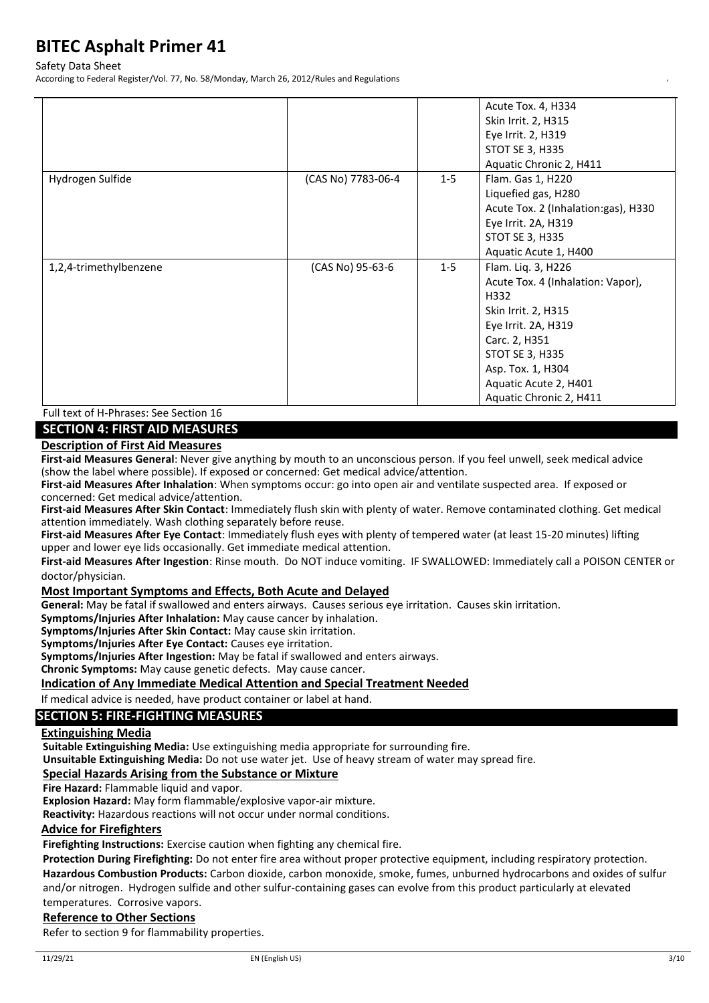#### Safety Data Sheet

According to Federal Register/Vol. 77, No. 58/Monday, March 26, 2012/Rules and Regulations

|                        |                    |         | Acute Tox. 4, H334<br>Skin Irrit. 2, H315<br>Eye Irrit. 2, H319<br>STOT SE 3, H335<br>Aquatic Chronic 2, H411                                                                                                              |
|------------------------|--------------------|---------|----------------------------------------------------------------------------------------------------------------------------------------------------------------------------------------------------------------------------|
| Hydrogen Sulfide       | (CAS No) 7783-06-4 | $1 - 5$ | Flam. Gas 1, H220<br>Liquefied gas, H280<br>Acute Tox. 2 (Inhalation:gas), H330<br>Eye Irrit. 2A, H319<br>STOT SE 3, H335<br>Aquatic Acute 1, H400                                                                         |
| 1,2,4-trimethylbenzene | (CAS No) 95-63-6   | $1 - 5$ | Flam. Liq. 3, H226<br>Acute Tox. 4 (Inhalation: Vapor),<br>H332<br>Skin Irrit. 2, H315<br>Eye Irrit. 2A, H319<br>Carc. 2, H351<br>STOT SE 3, H335<br>Asp. Tox. 1, H304<br>Aquatic Acute 2, H401<br>Aquatic Chronic 2, H411 |

Full text of H-Phrases: See Section 16

## **SECTION 4: FIRST AID MEASURES**

### **Description of First Aid Measures**

**First-aid Measures General**: Never give anything by mouth to an unconscious person. If you feel unwell, seek medical advice (show the label where possible). If exposed or concerned: Get medical advice/attention.

**First-aid Measures After Inhalation**: When symptoms occur: go into open air and ventilate suspected area. If exposed or concerned: Get medical advice/attention.

**First-aid Measures After Skin Contact**: Immediately flush skin with plenty of water. Remove contaminated clothing. Get medical attention immediately. Wash clothing separately before reuse.

**First-aid Measures After Eye Contact**: Immediately flush eyes with plenty of tempered water (at least 15-20 minutes) lifting upper and lower eye lids occasionally. Get immediate medical attention.

**First-aid Measures After Ingestion**: Rinse mouth. Do NOT induce vomiting. IF SWALLOWED: Immediately call a POISON CENTER or doctor/physician.

### **Most Important Symptoms and Effects, Both Acute and Delayed**

**General:** May be fatal if swallowed and enters airways. Causes serious eye irritation. Causes skin irritation.

**Symptoms/Injuries After Inhalation:** May cause cancer by inhalation.

**Symptoms/Injuries After Skin Contact:** May cause skin irritation.

**Symptoms/Injuries After Eye Contact:** Causes eye irritation.

**Symptoms/Injuries After Ingestion:** May be fatal if swallowed and enters airways.

**Chronic Symptoms:** May cause genetic defects. May cause cancer.

### **Indication of Any Immediate Medical Attention and Special Treatment Needed**

If medical advice is needed, have product container or label at hand.

## **SECTION 5: FIRE-FIGHTING MEASURES**

#### **Extinguishing Media**

**Suitable Extinguishing Media:** Use extinguishing media appropriate for surrounding fire.

**Unsuitable Extinguishing Media:** Do not use water jet. Use of heavy stream of water may spread fire.

#### **Special Hazards Arising from the Substance or Mixture**

**Fire Hazard:** Flammable liquid and vapor.

**Explosion Hazard:** May form flammable/explosive vapor-air mixture.

**Reactivity:** Hazardous reactions will not occur under normal conditions.

#### **Advice for Firefighters**

**Firefighting Instructions:** Exercise caution when fighting any chemical fire.

**Protection During Firefighting:** Do not enter fire area without proper protective equipment, including respiratory protection. **Hazardous Combustion Products:** Carbon dioxide, carbon monoxide, smoke, fumes, unburned hydrocarbons and oxides of sulfur and/or nitrogen. Hydrogen sulfide and other sulfur-containing gases can evolve from this product particularly at elevated temperatures. Corrosive vapors.

# **Reference to Other Sections**

Refer to section 9 for flammability properties.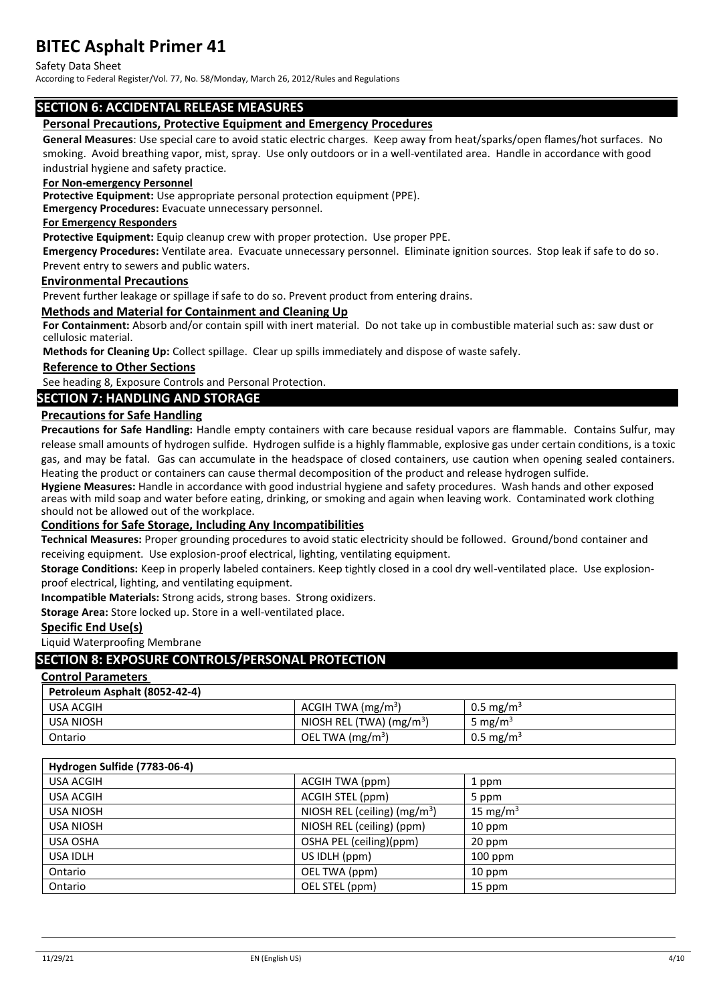#### Safety Data Sheet

According to Federal Register/Vol. 77, No. 58/Monday, March 26, 2012/Rules and Regulations

# **SECTION 6: ACCIDENTAL RELEASE MEASURES**

#### **Personal Precautions, Protective Equipment and Emergency Procedures**

**General Measures**: Use special care to avoid static electric charges. Keep away from heat/sparks/open flames/hot surfaces. No smoking. Avoid breathing vapor, mist, spray. Use only outdoors or in a well-ventilated area. Handle in accordance with good industrial hygiene and safety practice.

#### **For Non-emergency Personnel**

**Protective Equipment:** Use appropriate personal protection equipment (PPE).

**Emergency Procedures:** Evacuate unnecessary personnel.

#### **For Emergency Responders**

**Protective Equipment:** Equip cleanup crew with proper protection. Use proper PPE.

**Emergency Procedures:** Ventilate area. Evacuate unnecessary personnel. Eliminate ignition sources. Stop leak if safe to do so. Prevent entry to sewers and public waters.

#### **Environmental Precautions**

Prevent further leakage or spillage if safe to do so. Prevent product from entering drains.

#### **Methods and Material for Containment and Cleaning Up**

**For Containment:** Absorb and/or contain spill with inert material. Do not take up in combustible material such as: saw dust or cellulosic material.

**Methods for Cleaning Up:** Collect spillage. Clear up spills immediately and dispose of waste safely.

#### **Reference to Other Sections**

See heading 8, Exposure Controls and Personal Protection.

## **SECTION 7: HANDLING AND STORAGE**

### **Precautions for Safe Handling**

**Precautions for Safe Handling:** Handle empty containers with care because residual vapors are flammable. Contains Sulfur, may release small amounts of hydrogen sulfide. Hydrogen sulfide is a highly flammable, explosive gas under certain conditions, is a toxic gas, and may be fatal. Gas can accumulate in the headspace of closed containers, use caution when opening sealed containers. Heating the product or containers can cause thermal decomposition of the product and release hydrogen sulfide.

**Hygiene Measures:** Handle in accordance with good industrial hygiene and safety procedures. Wash hands and other exposed areas with mild soap and water before eating, drinking, or smoking and again when leaving work. Contaminated work clothing should not be allowed out of the workplace.

### **Conditions for Safe Storage, Including Any Incompatibilities**

**Technical Measures:** Proper grounding procedures to avoid static electricity should be followed. Ground/bond container and receiving equipment. Use explosion-proof electrical, lighting, ventilating equipment.

**Storage Conditions:** Keep in properly labeled containers. Keep tightly closed in a cool dry well-ventilated place. Use explosionproof electrical, lighting, and ventilating equipment.

**Incompatible Materials:** Strong acids, strong bases. Strong oxidizers.

**Storage Area:** Store locked up. Store in a well-ventilated place.

#### **Specific End Use(s)**

Liquid Waterproofing Membrane

#### **SECTION 8: EXPOSURE CONTROLS/PERSONAL PROTECTION**

#### **Control Parameters**

| Petroleum Asphalt (8052-42-4) |                           |                       |
|-------------------------------|---------------------------|-----------------------|
| USA ACGIH                     | ACGIH TWA $(mg/m3)$       | $0.5 \text{ mg/m}^3$  |
| <b>USA NIOSH</b>              | NIOSH REL (TWA) $(mg/m3)$ | 5 mg/m <sup>3</sup>   |
| Ontario                       | OEL TWA $(mg/m3)$         | 0.5 mg/m <sup>3</sup> |

### **Hydrogen Sulfide (7783-06-4)**

| USA ACGIH        | ACGIH TWA (ppm)               | 1 ppm                |
|------------------|-------------------------------|----------------------|
| USA ACGIH        | ACGIH STEL (ppm)              | 5 ppm                |
| <b>USA NIOSH</b> | NIOSH REL (ceiling) $(mg/m3)$ | 15 mg/m <sup>3</sup> |
| <b>USA NIOSH</b> | NIOSH REL (ceiling) (ppm)     | 10 ppm               |
| USA OSHA         | OSHA PEL (ceiling)(ppm)       | 20 ppm               |
| <b>USA IDLH</b>  | US IDLH (ppm)                 | $100$ ppm            |
| Ontario          | OEL TWA (ppm)                 | 10 ppm               |
| Ontario          | OEL STEL (ppm)                | 15 ppm               |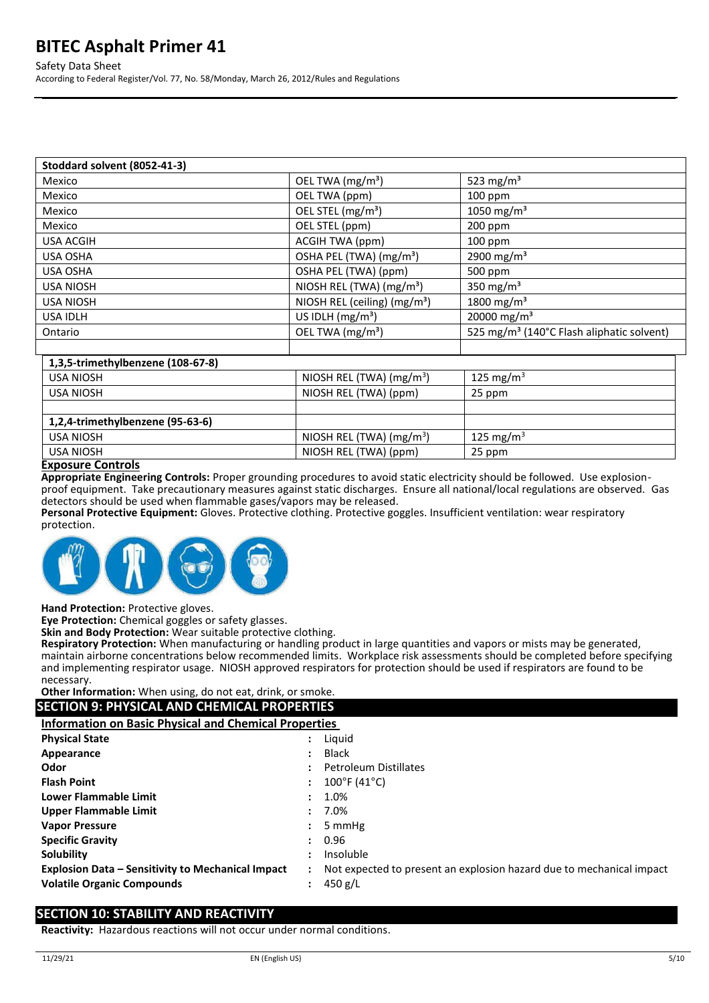#### Safety Data Sheet

According to Federal Register/Vol. 77, No. 58/Monday, March 26, 2012/Rules and Regulations

| Stoddard solvent (8052-41-3)      |                                          |                                                       |
|-----------------------------------|------------------------------------------|-------------------------------------------------------|
| Mexico                            | OEL TWA (mg/m <sup>3</sup> )             | 523 mg/m <sup>3</sup>                                 |
| Mexico                            | OEL TWA (ppm)                            | 100 ppm                                               |
| Mexico                            | OEL STEL (mg/m <sup>3</sup> )            | 1050 mg/m <sup>3</sup>                                |
| Mexico                            | OEL STEL (ppm)                           | $200$ ppm                                             |
| <b>USA ACGIH</b>                  | ACGIH TWA (ppm)                          | 100 ppm                                               |
| USA OSHA                          | OSHA PEL (TWA) (mg/m <sup>3</sup> )      | 2900 mg/m <sup>3</sup>                                |
| USA OSHA                          | OSHA PEL (TWA) (ppm)                     | 500 ppm                                               |
| <b>USA NIOSH</b>                  | NIOSH REL (TWA) (mg/m <sup>3</sup> )     | 350 mg/m <sup>3</sup>                                 |
| <b>USA NIOSH</b>                  | NIOSH REL (ceiling) (mg/m <sup>3</sup> ) | 1800 mg/m <sup>3</sup>                                |
| USA IDLH                          | US IDLH $(mg/m3)$                        | 20000 mg/m <sup>3</sup>                               |
| Ontario                           | OEL TWA (mg/m <sup>3</sup> )             | 525 mg/m <sup>3</sup> (140°C Flash aliphatic solvent) |
|                                   |                                          |                                                       |
| 1,3,5-trimethylbenzene (108-67-8) |                                          |                                                       |
| <b>USA NIOSH</b>                  | NIOSH REL (TWA) $(mg/m3)$                | 125 mg/m $3$                                          |
| <b>USA NIOSH</b>                  | NIOSH REL (TWA) (ppm)                    | 25 ppm                                                |
|                                   |                                          |                                                       |
| 1,2,4-trimethylbenzene (95-63-6)  |                                          |                                                       |
| <b>USA NIOSH</b>                  | NIOSH REL (TWA) $(mg/m3)$                | 125 mg/m <sup>3</sup>                                 |
| <b>USA NIOSH</b>                  | NIOSH REL (TWA) (ppm)                    | 25 ppm                                                |
| Evanouse Controle                 |                                          |                                                       |

#### **Exposure Controls**

**Appropriate Engineering Controls:** Proper grounding procedures to avoid static electricity should be followed. Use explosionproof equipment. Take precautionary measures against static discharges. Ensure all national/local regulations are observed. Gas detectors should be used when flammable gases/vapors may be released.

**Personal Protective Equipment:** Gloves. Protective clothing. Protective goggles. Insufficient ventilation: wear respiratory protection.



**Hand Protection:** Protective gloves.

**Eye Protection:** Chemical goggles or safety glasses.

**Skin and Body Protection:** Wear suitable protective clothing.

**Respiratory Protection:** When manufacturing or handling product in large quantities and vapors or mists may be generated, maintain airborne concentrations below recommended limits. Workplace risk assessments should be completed before specifying and implementing respirator usage. NIOSH approved respirators for protection should be used if respirators are found to be necessary.

### **Other Information:** When using, do not eat, drink, or smoke.

| <b>Other Information:</b> When using, do not eat, drink, or smoke. |   |                                                                      |  |
|--------------------------------------------------------------------|---|----------------------------------------------------------------------|--|
| <b>SECTION 9: PHYSICAL AND CHEMICAL PROPERTIES</b>                 |   |                                                                      |  |
| <b>Information on Basic Physical and Chemical Properties</b>       |   |                                                                      |  |
| <b>Physical State</b>                                              | ÷ | Liguid                                                               |  |
| Appearance                                                         |   | Black                                                                |  |
| Odor                                                               |   | <b>Petroleum Distillates</b>                                         |  |
| <b>Flash Point</b>                                                 |   | $100^{\circ}$ F (41 $^{\circ}$ C)                                    |  |
| <b>Lower Flammable Limit</b>                                       |   | 1.0%                                                                 |  |
| Upper Flammable Limit                                              |   | 7.0%                                                                 |  |
| <b>Vapor Pressure</b>                                              |   | 5 mmHg                                                               |  |
| <b>Specific Gravity</b>                                            |   | 0.96                                                                 |  |
| Solubility                                                         |   | Insoluble                                                            |  |
| <b>Explosion Data - Sensitivity to Mechanical Impact</b>           |   | Not expected to present an explosion hazard due to mechanical impact |  |
| <b>Volatile Organic Compounds</b>                                  | ٠ | 450 g/L                                                              |  |
|                                                                    |   |                                                                      |  |

### **SECTION 10: STABILITY AND REACTIVITY**

**Reactivity:** Hazardous reactions will not occur under normal conditions.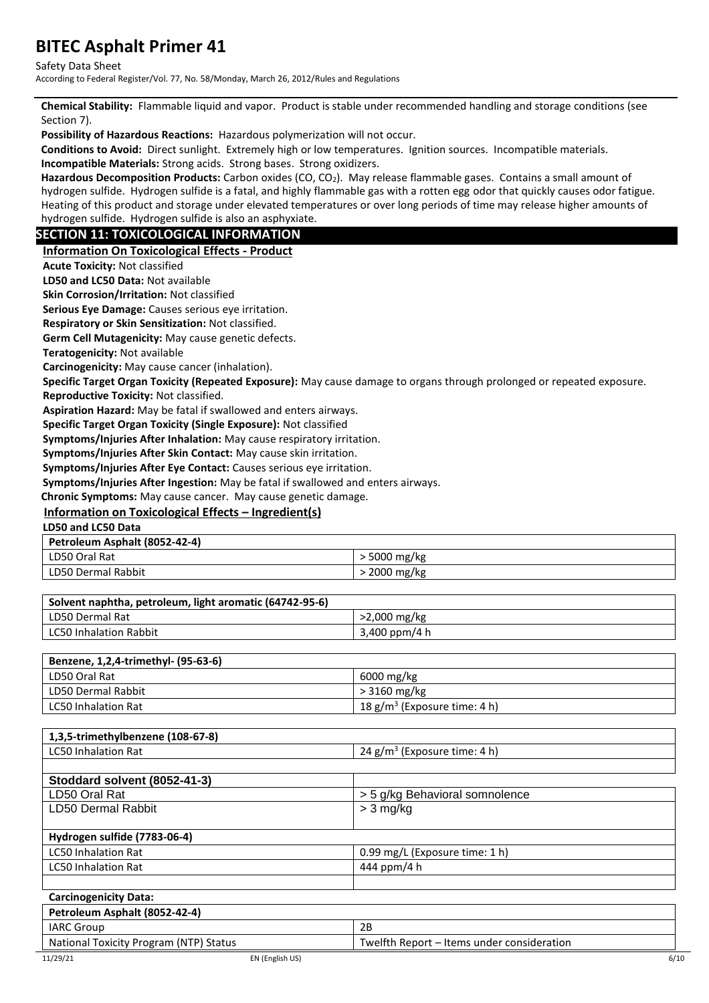#### Safety Data Sheet

According to Federal Register/Vol. 77, No. 58/Monday, March 26, 2012/Rules and Regulations

**Chemical Stability:** Flammable liquid and vapor.Product is stable under recommended handling and storage conditions (see Section 7).

**Possibility of Hazardous Reactions:** Hazardous polymerization will not occur.

**Conditions to Avoid:** Direct sunlight. Extremely high or low temperatures. Ignition sources. Incompatible materials. **Incompatible Materials:** Strong acids. Strong bases. Strong oxidizers.

**Hazardous Decomposition Products:** Carbon oxides (CO, CO2). May release flammable gases. Contains a small amount of hydrogen sulfide. Hydrogen sulfide is a fatal, and highly flammable gas with a rotten egg odor that quickly causes odor fatigue. Heating of this product and storage under elevated temperatures or over long periods of time may release higher amounts of hydrogen sulfide. Hydrogen sulfide is also an asphyxiate.

# **SECTION 11: TOXICOLOGICAL INFORMATION**

**Information On Toxicological Effects - Product**

**Acute Toxicity:** Not classified

**LD50 and LC50 Data:** Not available

**Skin Corrosion/Irritation:** Not classified

**Serious Eye Damage:** Causes serious eye irritation.

**Respiratory or Skin Sensitization:** Not classified.

**Germ Cell Mutagenicity:** May cause genetic defects.

**Teratogenicity:** Not available

**Carcinogenicity:** May cause cancer (inhalation).

**Specific Target Organ Toxicity (Repeated Exposure):** May cause damage to organs through prolonged or repeated exposure.

**Reproductive Toxicity:** Not classified.

**Aspiration Hazard:** May be fatal if swallowed and enters airways.

**Specific Target Organ Toxicity (Single Exposure):** Not classified

**Symptoms/Injuries After Inhalation:** May cause respiratory irritation.

**Symptoms/Injuries After Skin Contact:** May cause skin irritation.

**Symptoms/Injuries After Eye Contact:** Causes serious eye irritation.

**Symptoms/Injuries After Ingestion:** May be fatal if swallowed and enters airways.

**Chronic Symptoms:** May cause cancer. May cause genetic damage.

## **Information on Toxicological Effects – Ingredient(s)**

**LD50 and LC50 Data**

| Petroleum Asphalt (8052-42-4) |            |  |
|-------------------------------|------------|--|
| LD50 Oral Rat                 | 5000 mg/kg |  |
| LD50 Dermal Rabbit            | 2000 mg/kg |  |

| Solvent naphtha, petroleum, light aromatic (64742-95-6) |                |  |  |
|---------------------------------------------------------|----------------|--|--|
| LD50 Dermal Rat                                         | $>2,000$ mg/kg |  |  |
| <b>LC50 Inhalation Rabbit</b>                           | 3,400 ppm/4 h  |  |  |

| Benzene, 1,2,4-trimethyl- (95-63-6) |                                          |
|-------------------------------------|------------------------------------------|
| LD50 Oral Rat                       | 6000 mg/kg                               |
| LD50 Dermal Rabbit                  | $>3160$ mg/kg                            |
| LC50 Inhalation Rat                 | 18 g/m <sup>3</sup> (Exposure time: 4 h) |

| 1,3,5-trimethylbenzene (108-67-8) |                                 |
|-----------------------------------|---------------------------------|
| <b>LC50 Inhalation Rat</b>        | 24 $g/m^3$ (Exposure time: 4 h) |
|                                   |                                 |
| Stoddard solvent (8052-41-3)      |                                 |
| LD50 Oral Rat                     | > 5 g/kg Behavioral somnolence  |
| LD50 Dermal Rabbit                | $> 3$ mg/kg                     |
|                                   |                                 |
| Hydrogen sulfide (7783-06-4)      |                                 |
| <b>LC50 Inhalation Rat</b>        | 0.99 mg/L (Exposure time: 1 h)  |
| <b>LC50 Inhalation Rat</b>        | 444 ppm/4 h                     |
|                                   |                                 |
| <b>Carcinogenicity Data:</b>      |                                 |
| Petroleum Asphalt (8052-42-4)     |                                 |

| <b>IARC</b> | <b>つに</b>     |
|-------------|---------------|
| Group       | 40            |
| \ITP)       | consideration |
| Status      | uweltth       |
| Nationai    | . Repor*      |
| ⊺oxicitv    | , under       |
| ' Program   | 'ten.         |
| LN.         | -             |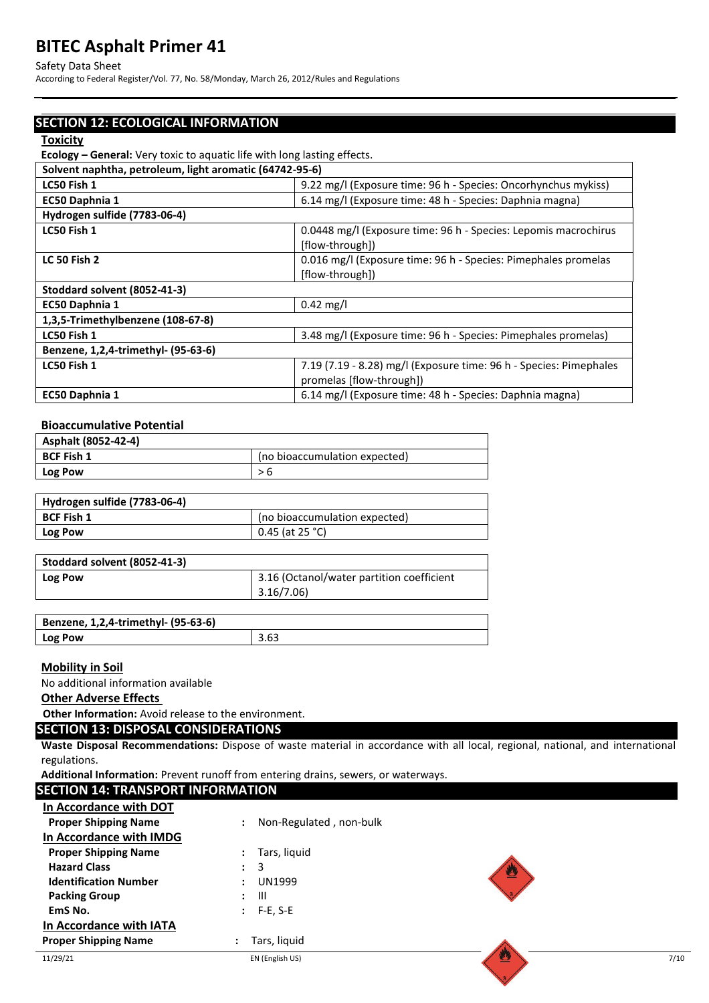#### Safety Data Sheet

According to Federal Register/Vol. 77, No. 58/Monday, March 26, 2012/Rules and Regulations

# **SECTION 12: ECOLOGICAL INFORMATION**

#### **Toxicity**

**Ecology – General:** Very toxic to aquatic life with long lasting effects.

| Solvent naphtha, petroleum, light aromatic (64742-95-6) |                                                                                    |
|---------------------------------------------------------|------------------------------------------------------------------------------------|
| LC50 Fish 1                                             | 9.22 mg/l (Exposure time: 96 h - Species: Oncorhynchus mykiss)                     |
| EC50 Daphnia 1                                          | 6.14 mg/l (Exposure time: 48 h - Species: Daphnia magna)                           |
| Hydrogen sulfide (7783-06-4)                            |                                                                                    |
| LC50 Fish 1                                             | 0.0448 mg/l (Exposure time: 96 h - Species: Lepomis macrochirus<br>[flow-through]) |
| <b>LC 50 Fish 2</b>                                     |                                                                                    |
|                                                         | 0.016 mg/l (Exposure time: 96 h - Species: Pimephales promelas<br>[flow-through])  |
| Stoddard solvent (8052-41-3)                            |                                                                                    |
| EC50 Daphnia 1                                          | $0.42 \text{ mg/l}$                                                                |
| 1,3,5-Trimethylbenzene (108-67-8)                       |                                                                                    |
| LC50 Fish 1                                             | 3.48 mg/l (Exposure time: 96 h - Species: Pimephales promelas)                     |
| Benzene, 1,2,4-trimethyl- (95-63-6)                     |                                                                                    |
| LC50 Fish 1                                             | 7.19 (7.19 - 8.28) mg/l (Exposure time: 96 h - Species: Pimephales                 |
| promelas [flow-through])                                |                                                                                    |
| EC50 Daphnia 1                                          | 6.14 mg/l (Exposure time: 48 h - Species: Daphnia magna)                           |

# **Bioaccumulative Potential**

| Asphalt (8052-42-4) |                               |
|---------------------|-------------------------------|
| <b>BCF Fish 1</b>   | (no bioaccumulation expected) |
| <b>Log Pow</b>      |                               |
|                     |                               |

| Hydrogen sulfide (7783-06-4) |                               |
|------------------------------|-------------------------------|
| <b>BCF Fish 1</b>            | (no bioaccumulation expected) |
| <b>Log Pow</b>               | $0.45$ (at 25 °C)             |

| Stoddard solvent (8052-41-3) |                                           |
|------------------------------|-------------------------------------------|
| Log Pow                      | 3.16 (Octanol/water partition coefficient |
|                              | 3.16/7.06                                 |
|                              |                                           |

| Benzene, 1,2,4-trimethyl- (95-63-6) |      |
|-------------------------------------|------|
| <b>Log Pow</b>                      | 3.63 |

#### **Mobility in Soil**

No additional information available

#### **Other Adverse Effects**

**Other Information:** Avoid release to the environment.

#### **SECTION 13: DISPOSAL CONSIDERATIONS**

**Waste Disposal Recommendations:** Dispose of waste material in accordance with all local, regional, national, and international regulations.

**Additional Information:** Prevent runoff from entering drains, sewers, or waterways.

| <b>SECTION 14: TRANSPORT INFORMATION</b> |                         |    |      |
|------------------------------------------|-------------------------|----|------|
| In Accordance with DOT                   |                         |    |      |
| <b>Proper Shipping Name</b>              | Non-Regulated, non-bulk |    |      |
| In Accordance with IMDG                  |                         |    |      |
| <b>Proper Shipping Name</b>              | Tars, liquid            |    |      |
| <b>Hazard Class</b>                      | 3<br>$\bullet$          | W. |      |
| <b>Identification Number</b>             | <b>UN1999</b>           |    |      |
| <b>Packing Group</b>                     | - 111                   |    |      |
| EmS No.                                  | $F-E, S-E$              |    |      |
| In Accordance with IATA                  |                         |    |      |
| <b>Proper Shipping Name</b>              | Tars, liquid            |    |      |
| 11/29/21                                 | EN (English US)         | 翌  | 7/10 |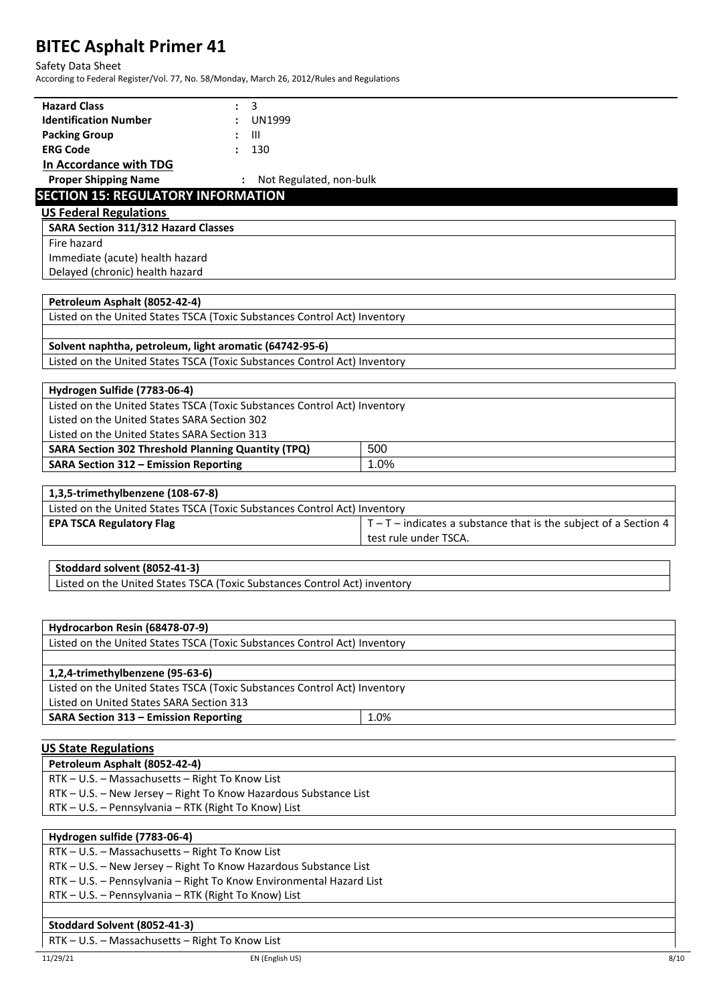### Safety Data Sheet

According to Federal Register/Vol. 77, No. 58/Monday, March 26, 2012/Rules and Regulations

| <b>Hazard Class</b><br>3                                                   |                                                                    |
|----------------------------------------------------------------------------|--------------------------------------------------------------------|
| <b>Identification Number</b><br>UN1999                                     |                                                                    |
| <b>Packing Group</b><br>Ш                                                  |                                                                    |
| <b>ERG Code</b><br>130                                                     |                                                                    |
| In Accordance with TDG                                                     |                                                                    |
| <b>Proper Shipping Name</b><br>: Not Regulated, non-bulk                   |                                                                    |
| <b>SECTION 15: REGULATORY INFORMATION</b><br><b>US Federal Regulations</b> |                                                                    |
| <b>SARA Section 311/312 Hazard Classes</b>                                 |                                                                    |
| Fire hazard                                                                |                                                                    |
| Immediate (acute) health hazard                                            |                                                                    |
|                                                                            |                                                                    |
| Delayed (chronic) health hazard                                            |                                                                    |
| Petroleum Asphalt (8052-42-4)                                              |                                                                    |
| Listed on the United States TSCA (Toxic Substances Control Act) Inventory  |                                                                    |
|                                                                            |                                                                    |
| Solvent naphtha, petroleum, light aromatic (64742-95-6)                    |                                                                    |
| Listed on the United States TSCA (Toxic Substances Control Act) Inventory  |                                                                    |
| Hydrogen Sulfide (7783-06-4)                                               |                                                                    |
| Listed on the United States TSCA (Toxic Substances Control Act) Inventory  |                                                                    |
| Listed on the United States SARA Section 302                               |                                                                    |
| Listed on the United States SARA Section 313                               |                                                                    |
| <b>SARA Section 302 Threshold Planning Quantity (TPQ)</b>                  | 500                                                                |
| <b>SARA Section 312 - Emission Reporting</b>                               | 1.0%                                                               |
|                                                                            |                                                                    |
| 1,3,5-trimethylbenzene (108-67-8)                                          |                                                                    |
| Listed on the United States TSCA (Toxic Substances Control Act) Inventory  |                                                                    |
| <b>EPA TSCA Regulatory Flag</b>                                            | $T - T$ – indicates a substance that is the subject of a Section 4 |
|                                                                            | test rule under TSCA.                                              |
|                                                                            |                                                                    |
| Stoddard solvent (8052-41-3)                                               |                                                                    |
| Listed on the United States TSCA (Toxic Substances Control Act) inventory  |                                                                    |
|                                                                            |                                                                    |
| Hydrocarbon Resin (68478-07-9)                                             |                                                                    |
| Listed on the United States TSCA (Toxic Substances Control Act) Inventory  |                                                                    |
| 1,2,4-trimethylbenzene (95-63-6)                                           |                                                                    |
| Listed on the United States TSCA (Toxic Substances Control Act) Inventory  |                                                                    |
| Listed on United States SARA Section 313                                   |                                                                    |
| <b>SARA Section 313 - Emission Reporting</b>                               | 1.0%                                                               |
|                                                                            |                                                                    |
| <b>US State Regulations</b>                                                |                                                                    |
| Petroleum Asphalt (8052-42-4)                                              |                                                                    |
| RTK - U.S. - Massachusetts - Right To Know List                            |                                                                    |
| RTK - U.S. - New Jersey - Right To Know Hazardous Substance List           |                                                                    |

RTK – U.S. – Pennsylvania – RTK (Right To Know) List

| Hydrogen sulfide (7783-06-4)                                        |
|---------------------------------------------------------------------|
| RTK - U.S. - Massachusetts - Right To Know List                     |
| RTK – U.S. – New Jersey – Right To Know Hazardous Substance List    |
| RTK - U.S. - Pennsylvania - Right To Know Environmental Hazard List |
| RTK - U.S. - Pennsylvania - RTK (Right To Know) List                |
|                                                                     |
| Stoddard Solvent (8052-41-3)                                        |

RTK – U.S. – Massachusetts – Right To Know List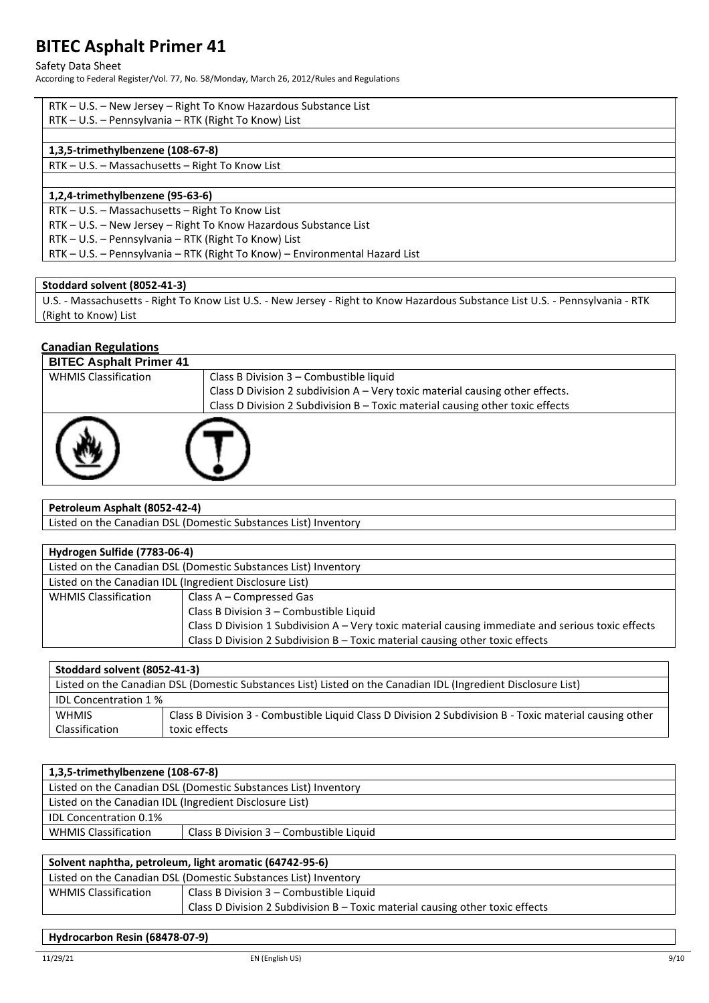#### Safety Data Sheet

According to Federal Register/Vol. 77, No. 58/Monday, March 26, 2012/Rules and Regulations

| RTK – U.S. – New Jersey – Right To Know Hazardous Substance List |  |
|------------------------------------------------------------------|--|
| RTK – U.S. – Pennsylvania – RTK (Right To Know) List             |  |

#### **1,3,5-trimethylbenzene (108-67-8)**

RTK – U.S. – Massachusetts – Right To Know List

#### **1,2,4-trimethylbenzene (95-63-6)**

RTK – U.S. – Massachusetts – Right To Know List

RTK – U.S. – New Jersey – Right To Know Hazardous Substance List

RTK – U.S. – Pennsylvania – RTK (Right To Know) List

RTK – U.S. – Pennsylvania – RTK (Right To Know) – Environmental Hazard List

#### **Stoddard solvent (8052-41-3)**

U.S. - Massachusetts - Right To Know List U.S. - New Jersey - Right to Know Hazardous Substance List U.S. - Pennsylvania - RTK (Right to Know) List

#### **Canadian Regulations**

| <b>BITEC Asphalt Primer 41</b> |                                                                               |
|--------------------------------|-------------------------------------------------------------------------------|
| <b>WHMIS Classification</b>    | Class B Division 3 - Combustible liquid                                       |
|                                | Class D Division 2 subdivision A - Very toxic material causing other effects. |
|                                | Class D Division 2 Subdivision B - Toxic material causing other toxic effects |
|                                |                                                                               |

**Petroleum Asphalt (8052-42-4)**

Listed on the Canadian DSL (Domestic Substances List) Inventory

| Hydrogen Sulfide (7783-06-4)                                                  |                                                                                                    |
|-------------------------------------------------------------------------------|----------------------------------------------------------------------------------------------------|
|                                                                               | Listed on the Canadian DSL (Domestic Substances List) Inventory                                    |
| Listed on the Canadian IDL (Ingredient Disclosure List)                       |                                                                                                    |
| <b>WHMIS Classification</b>                                                   | Class A - Compressed Gas                                                                           |
|                                                                               | Class B Division 3 - Combustible Liquid                                                            |
|                                                                               | Class D Division 1 Subdivision A - Very toxic material causing immediate and serious toxic effects |
| Class D Division 2 Subdivision B - Toxic material causing other toxic effects |                                                                                                    |

| Stoddard solvent (8052-41-3)                                                                                  |                                                                                                         |  |
|---------------------------------------------------------------------------------------------------------------|---------------------------------------------------------------------------------------------------------|--|
| Listed on the Canadian DSL (Domestic Substances List) Listed on the Canadian IDL (Ingredient Disclosure List) |                                                                                                         |  |
| <b>IDL Concentration 1%</b>                                                                                   |                                                                                                         |  |
| <b>WHMIS</b>                                                                                                  | Class B Division 3 - Combustible Liquid Class D Division 2 Subdivision B - Toxic material causing other |  |
| Classification                                                                                                | toxic effects                                                                                           |  |

| 1,3,5-trimethylbenzene (108-67-8)                                        |  |  |
|--------------------------------------------------------------------------|--|--|
| Listed on the Canadian DSL (Domestic Substances List) Inventory          |  |  |
| Listed on the Canadian IDL (Ingredient Disclosure List)                  |  |  |
| <b>IDL Concentration 0.1%</b>                                            |  |  |
| <b>WHMIS Classification</b><br>Class B Division $3$ – Combustible Liquid |  |  |

| Solvent naphtha, petroleum, light aromatic (64742-95-6)         |                                                                               |  |  |
|-----------------------------------------------------------------|-------------------------------------------------------------------------------|--|--|
| Listed on the Canadian DSL (Domestic Substances List) Inventory |                                                                               |  |  |
| <b>WHMIS Classification</b>                                     | Class B Division 3 – Combustible Liquid                                       |  |  |
|                                                                 | Class D Division 2 Subdivision B – Toxic material causing other toxic effects |  |  |

### **Hydrocarbon Resin (68478-07-9)**